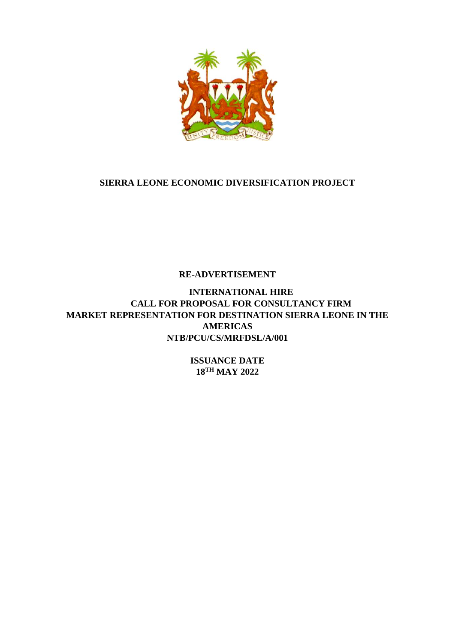

# **SIERRA LEONE ECONOMIC DIVERSIFICATION PROJECT**

**RE-ADVERTISEMENT** 

**INTERNATIONAL HIRE CALL FOR PROPOSAL FOR CONSULTANCY FIRM MARKET REPRESENTATION FOR DESTINATION SIERRA LEONE IN THE AMERICAS NTB/PCU/CS/MRFDSL/A/001**

> **ISSUANCE DATE 18TH MAY 2022**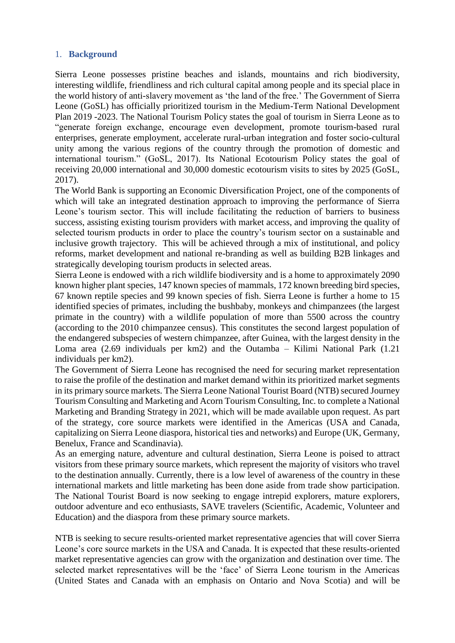### 1. **Background**

Sierra Leone possesses pristine beaches and islands, mountains and rich biodiversity, interesting wildlife, friendliness and rich cultural capital among people and its special place in the world history of anti-slavery movement as 'the land of the free.' The Government of Sierra Leone (GoSL) has officially prioritized tourism in the Medium-Term National Development Plan 2019 -2023. The National Tourism Policy states the goal of tourism in Sierra Leone as to "generate foreign exchange, encourage even development, promote tourism-based rural enterprises, generate employment, accelerate rural-urban integration and foster socio-cultural unity among the various regions of the country through the promotion of domestic and international tourism." (GoSL, 2017). Its National Ecotourism Policy states the goal of receiving 20,000 international and 30,000 domestic ecotourism visits to sites by 2025 (GoSL, 2017).

The World Bank is supporting an Economic Diversification Project, one of the components of which will take an integrated destination approach to improving the performance of Sierra Leone's tourism sector. This will include facilitating the reduction of barriers to business success, assisting existing tourism providers with market access, and improving the quality of selected tourism products in order to place the country's tourism sector on a sustainable and inclusive growth trajectory. This will be achieved through a mix of institutional, and policy reforms, market development and national re-branding as well as building B2B linkages and strategically developing tourism products in selected areas.

Sierra Leone is endowed with a rich wildlife biodiversity and is a home to approximately 2090 known higher plant species, 147 known species of mammals, 172 known breeding bird species, 67 known reptile species and 99 known species of fish. Sierra Leone is further a home to 15 identified species of primates, including the bushbaby, monkeys and chimpanzees (the largest primate in the country) with a wildlife population of more than 5500 across the country (according to the 2010 chimpanzee census). This constitutes the second largest population of the endangered subspecies of western chimpanzee, after Guinea, with the largest density in the Loma area (2.69 individuals per km2) and the Outamba – Kilimi National Park (1.21 individuals per km2).

The Government of Sierra Leone has recognised the need for securing market representation to raise the profile of the destination and market demand within its prioritized market segments in its primary source markets. The Sierra Leone National Tourist Board (NTB) secured Journey Tourism Consulting and Marketing and Acorn Tourism Consulting, Inc. to complete a National Marketing and Branding Strategy in 2021, which will be made available upon request. As part of the strategy, core source markets were identified in the Americas (USA and Canada, capitalizing on Sierra Leone diaspora, historical ties and networks) and Europe (UK, Germany, Benelux, France and Scandinavia).

As an emerging nature, adventure and cultural destination, Sierra Leone is poised to attract visitors from these primary source markets, which represent the majority of visitors who travel to the destination annually. Currently, there is a low level of awareness of the country in these international markets and little marketing has been done aside from trade show participation. The National Tourist Board is now seeking to engage intrepid explorers, mature explorers, outdoor adventure and eco enthusiasts, SAVE travelers (Scientific, Academic, Volunteer and Education) and the diaspora from these primary source markets.

NTB is seeking to secure results-oriented market representative agencies that will cover Sierra Leone's core source markets in the USA and Canada. It is expected that these results-oriented market representative agencies can grow with the organization and destination over time. The selected market representatives will be the 'face' of Sierra Leone tourism in the Americas (United States and Canada with an emphasis on Ontario and Nova Scotia) and will be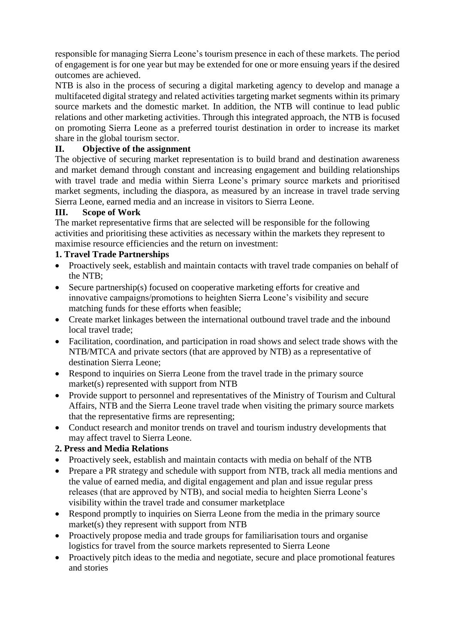responsible for managing Sierra Leone's tourism presence in each of these markets. The period of engagement is for one year but may be extended for one or more ensuing years if the desired outcomes are achieved.

NTB is also in the process of securing a digital marketing agency to develop and manage a multifaceted digital strategy and related activities targeting market segments within its primary source markets and the domestic market. In addition, the NTB will continue to lead public relations and other marketing activities. Through this integrated approach, the NTB is focused on promoting Sierra Leone as a preferred tourist destination in order to increase its market share in the global tourism sector.

# **II. Objective of the assignment**

The objective of securing market representation is to build brand and destination awareness and market demand through constant and increasing engagement and building relationships with travel trade and media within Sierra Leone's primary source markets and prioritised market segments, including the diaspora, as measured by an increase in travel trade serving Sierra Leone, earned media and an increase in visitors to Sierra Leone.

### **III. Scope of Work**

The market representative firms that are selected will be responsible for the following activities and prioritising these activities as necessary within the markets they represent to maximise resource efficiencies and the return on investment:

## **1. Travel Trade Partnerships**

- Proactively seek, establish and maintain contacts with travel trade companies on behalf of the NTB;
- Secure partnership(s) focused on cooperative marketing efforts for creative and innovative campaigns/promotions to heighten Sierra Leone's visibility and secure matching funds for these efforts when feasible;
- Create market linkages between the international outbound travel trade and the inbound local travel trade;
- Facilitation, coordination, and participation in road shows and select trade shows with the NTB/MTCA and private sectors (that are approved by NTB) as a representative of destination Sierra Leone;
- Respond to inquiries on Sierra Leone from the travel trade in the primary source market(s) represented with support from NTB
- Provide support to personnel and representatives of the Ministry of Tourism and Cultural Affairs, NTB and the Sierra Leone travel trade when visiting the primary source markets that the representative firms are representing;
- Conduct research and monitor trends on travel and tourism industry developments that may affect travel to Sierra Leone.

## **2. Press and Media Relations**

- Proactively seek, establish and maintain contacts with media on behalf of the NTB
- Prepare a PR strategy and schedule with support from NTB, track all media mentions and the value of earned media, and digital engagement and plan and issue regular press releases (that are approved by NTB), and social media to heighten Sierra Leone's visibility within the travel trade and consumer marketplace
- Respond promptly to inquiries on Sierra Leone from the media in the primary source market(s) they represent with support from NTB
- Proactively propose media and trade groups for familiarisation tours and organise logistics for travel from the source markets represented to Sierra Leone
- Proactively pitch ideas to the media and negotiate, secure and place promotional features and stories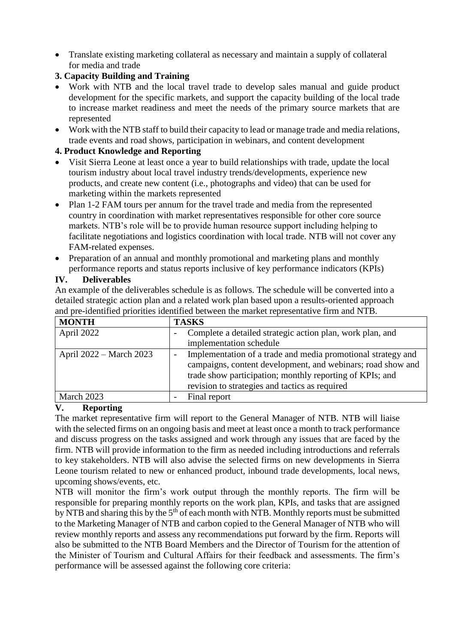Translate existing marketing collateral as necessary and maintain a supply of collateral for media and trade

# **3. Capacity Building and Training**

- Work with NTB and the local travel trade to develop sales manual and guide product development for the specific markets, and support the capacity building of the local trade to increase market readiness and meet the needs of the primary source markets that are represented
- Work with the NTB staff to build their capacity to lead or manage trade and media relations, trade events and road shows, participation in webinars, and content development

# **4. Product Knowledge and Reporting**

- Visit Sierra Leone at least once a year to build relationships with trade, update the local tourism industry about local travel industry trends/developments, experience new products, and create new content (i.e., photographs and video) that can be used for marketing within the markets represented
- Plan 1-2 FAM tours per annum for the travel trade and media from the represented country in coordination with market representatives responsible for other core source markets. NTB's role will be to provide human resource support including helping to facilitate negotiations and logistics coordination with local trade. NTB will not cover any FAM-related expenses.
- Preparation of an annual and monthly promotional and marketing plans and monthly performance reports and status reports inclusive of key performance indicators (KPIs)

## **IV. Deliverables**

An example of the deliverables schedule is as follows. The schedule will be converted into a detailed strategic action plan and a related work plan based upon a results-oriented approach and pre-identified priorities identified between the market representative firm and NTB.

| <b>MONTH</b>            | <b>TASKS</b>                                                                                                            |
|-------------------------|-------------------------------------------------------------------------------------------------------------------------|
| April 2022              | Complete a detailed strategic action plan, work plan, and                                                               |
|                         | implementation schedule                                                                                                 |
| April 2022 – March 2023 | Implementation of a trade and media promotional strategy and                                                            |
|                         | campaigns, content development, and webinars; road show and<br>trade show participation; monthly reporting of KPIs; and |
|                         | revision to strategies and tactics as required                                                                          |
| March 2023              | Final report                                                                                                            |

## **V. Reporting**

The market representative firm will report to the General Manager of NTB. NTB will liaise with the selected firms on an ongoing basis and meet at least once a month to track performance and discuss progress on the tasks assigned and work through any issues that are faced by the firm. NTB will provide information to the firm as needed including introductions and referrals to key stakeholders. NTB will also advise the selected firms on new developments in Sierra Leone tourism related to new or enhanced product, inbound trade developments, local news, upcoming shows/events, etc.

NTB will monitor the firm's work output through the monthly reports. The firm will be responsible for preparing monthly reports on the work plan, KPIs, and tasks that are assigned by NTB and sharing this by the 5<sup>th</sup> of each month with NTB. Monthly reports must be submitted to the Marketing Manager of NTB and carbon copied to the General Manager of NTB who will review monthly reports and assess any recommendations put forward by the firm. Reports will also be submitted to the NTB Board Members and the Director of Tourism for the attention of the Minister of Tourism and Cultural Affairs for their feedback and assessments. The firm's performance will be assessed against the following core criteria: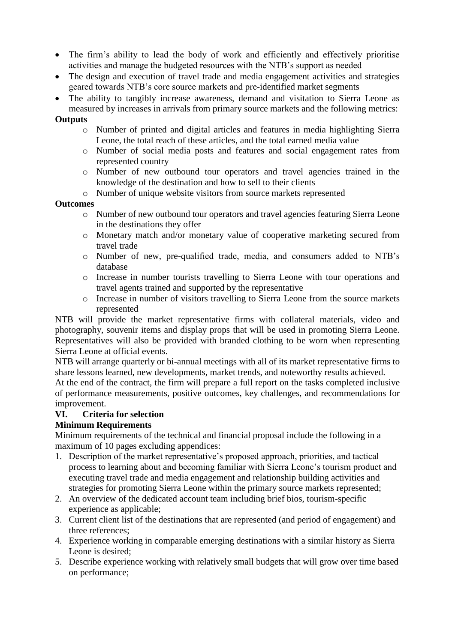- The firm's ability to lead the body of work and efficiently and effectively prioritise activities and manage the budgeted resources with the NTB's support as needed
- The design and execution of travel trade and media engagement activities and strategies geared towards NTB's core source markets and pre-identified market segments
- The ability to tangibly increase awareness, demand and visitation to Sierra Leone as measured by increases in arrivals from primary source markets and the following metrics:

#### **Outputs**

- o Number of printed and digital articles and features in media highlighting Sierra Leone, the total reach of these articles, and the total earned media value
- o Number of social media posts and features and social engagement rates from represented country
- o Number of new outbound tour operators and travel agencies trained in the knowledge of the destination and how to sell to their clients
- o Number of unique website visitors from source markets represented

### **Outcomes**

- o Number of new outbound tour operators and travel agencies featuring Sierra Leone in the destinations they offer
- o Monetary match and/or monetary value of cooperative marketing secured from travel trade
- o Number of new, pre-qualified trade, media, and consumers added to NTB's database
- o Increase in number tourists travelling to Sierra Leone with tour operations and travel agents trained and supported by the representative
- o Increase in number of visitors travelling to Sierra Leone from the source markets represented

NTB will provide the market representative firms with collateral materials, video and photography, souvenir items and display props that will be used in promoting Sierra Leone. Representatives will also be provided with branded clothing to be worn when representing Sierra Leone at official events.

NTB will arrange quarterly or bi-annual meetings with all of its market representative firms to share lessons learned, new developments, market trends, and noteworthy results achieved.

At the end of the contract, the firm will prepare a full report on the tasks completed inclusive of performance measurements, positive outcomes, key challenges, and recommendations for improvement.

## **VI. Criteria for selection**

## **Minimum Requirements**

Minimum requirements of the technical and financial proposal include the following in a maximum of 10 pages excluding appendices:

- 1. Description of the market representative's proposed approach, priorities, and tactical process to learning about and becoming familiar with Sierra Leone's tourism product and executing travel trade and media engagement and relationship building activities and strategies for promoting Sierra Leone within the primary source markets represented;
- 2. An overview of the dedicated account team including brief bios, tourism-specific experience as applicable;
- 3. Current client list of the destinations that are represented (and period of engagement) and three references;
- 4. Experience working in comparable emerging destinations with a similar history as Sierra Leone is desired;
- 5. Describe experience working with relatively small budgets that will grow over time based on performance;